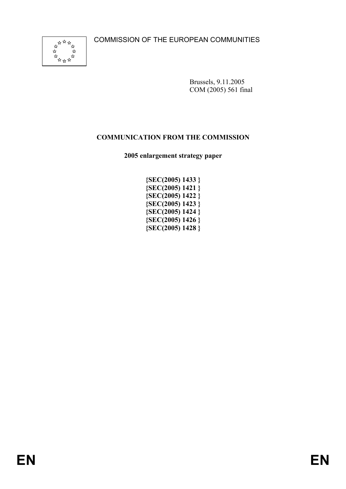COMMISSION OF THE EUROPEAN COMMUNITIES



Brussels, 9.11.2005 COM (2005) 561 final

# **COMMUNICATION FROM THE COMMISSION**

**2005 enlargement strategy paper** 

**{SEC(2005) 1433 } {SEC(2005) 1421 } {SEC(2005) 1422 } {SEC(2005) 1423 } {SEC(2005) 1424 } {SEC(2005) 1426 } {SEC(2005) 1428 }**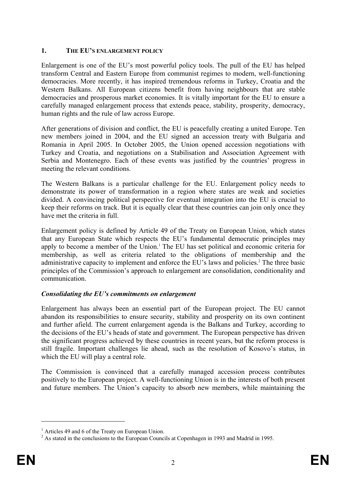#### **1. THE EU'S ENLARGEMENT POLICY**

Enlargement is one of the EU's most powerful policy tools. The pull of the EU has helped transform Central and Eastern Europe from communist regimes to modern, well-functioning democracies. More recently, it has inspired tremendous reforms in Turkey, Croatia and the Western Balkans. All European citizens benefit from having neighbours that are stable democracies and prosperous market economies. It is vitally important for the EU to ensure a carefully managed enlargement process that extends peace, stability, prosperity, democracy, human rights and the rule of law across Europe.

After generations of division and conflict, the EU is peacefully creating a united Europe. Ten new members joined in 2004, and the EU signed an accession treaty with Bulgaria and Romania in April 2005. In October 2005, the Union opened accession negotiations with Turkey and Croatia, and negotiations on a Stabilisation and Association Agreement with Serbia and Montenegro. Each of these events was justified by the countries' progress in meeting the relevant conditions.

The Western Balkans is a particular challenge for the EU. Enlargement policy needs to demonstrate its power of transformation in a region where states are weak and societies divided. A convincing political perspective for eventual integration into the EU is crucial to keep their reforms on track. But it is equally clear that these countries can join only once they have met the criteria in full.

Enlargement policy is defined by Article 49 of the Treaty on European Union, which states that any European State which respects the EU's fundamental democratic principles may apply to become a member of the Union.<sup>1</sup> The EU has set political and economic criteria for membership, as well as criteria related to the obligations of membership and the administrative capacity to implement and enforce the EU's laws and policies.<sup>2</sup> The three basic principles of the Commission's approach to enlargement are consolidation, conditionality and communication.

#### *Consolidating the EU's commitments on enlargement*

Enlargement has always been an essential part of the European project. The EU cannot abandon its responsibilities to ensure security, stability and prosperity on its own continent and further afield. The current enlargement agenda is the Balkans and Turkey, according to the decisions of the EU's heads of state and government. The European perspective has driven the significant progress achieved by these countries in recent years, but the reform process is still fragile. Important challenges lie ahead, such as the resolution of Kosovo's status, in which the EU will play a central role.

The Commission is convinced that a carefully managed accession process contributes positively to the European project. A well-functioning Union is in the interests of both present and future members. The Union's capacity to absorb new members, while maintaining the

<sup>&</sup>lt;sup>1</sup> Articles 49 and 6 of the Treaty on European Union.

 $2^2$  As stated in the conclusions to the European Councils at Copenhagen in 1993 and Madrid in 1995.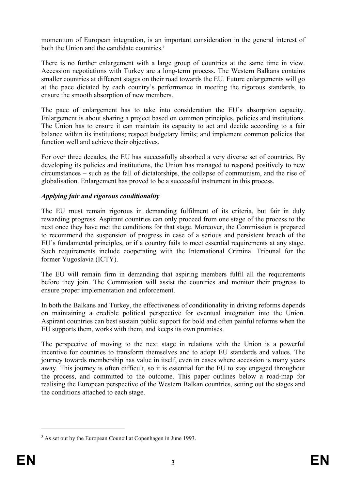momentum of European integration, is an important consideration in the general interest of both the Union and the candidate countries.<sup>3</sup>

There is no further enlargement with a large group of countries at the same time in view. Accession negotiations with Turkey are a long-term process. The Western Balkans contains smaller countries at different stages on their road towards the EU. Future enlargements will go at the pace dictated by each country's performance in meeting the rigorous standards, to ensure the smooth absorption of new members.

The pace of enlargement has to take into consideration the EU's absorption capacity. Enlargement is about sharing a project based on common principles, policies and institutions. The Union has to ensure it can maintain its capacity to act and decide according to a fair balance within its institutions; respect budgetary limits; and implement common policies that function well and achieve their objectives.

For over three decades, the EU has successfully absorbed a very diverse set of countries. By developing its policies and institutions, the Union has managed to respond positively to new circumstances – such as the fall of dictatorships, the collapse of communism, and the rise of globalisation. Enlargement has proved to be a successful instrument in this process.

## *Applying fair and rigorous conditionality*

The EU must remain rigorous in demanding fulfilment of its criteria, but fair in duly rewarding progress. Aspirant countries can only proceed from one stage of the process to the next once they have met the conditions for that stage. Moreover, the Commission is prepared to recommend the suspension of progress in case of a serious and persistent breach of the EU's fundamental principles, or if a country fails to meet essential requirements at any stage. Such requirements include cooperating with the International Criminal Tribunal for the former Yugoslavia (ICTY).

The EU will remain firm in demanding that aspiring members fulfil all the requirements before they join. The Commission will assist the countries and monitor their progress to ensure proper implementation and enforcement.

In both the Balkans and Turkey, the effectiveness of conditionality in driving reforms depends on maintaining a credible political perspective for eventual integration into the Union. Aspirant countries can best sustain public support for bold and often painful reforms when the EU supports them, works with them, and keeps its own promises.

The perspective of moving to the next stage in relations with the Union is a powerful incentive for countries to transform themselves and to adopt EU standards and values. The journey towards membership has value in itself, even in cases where accession is many years away. This journey is often difficult, so it is essential for the EU to stay engaged throughout the process, and committed to the outcome. This paper outlines below a road-map for realising the European perspective of the Western Balkan countries, setting out the stages and the conditions attached to each stage.

<sup>&</sup>lt;sup>3</sup> As set out by the European Council at Copenhagen in June 1993.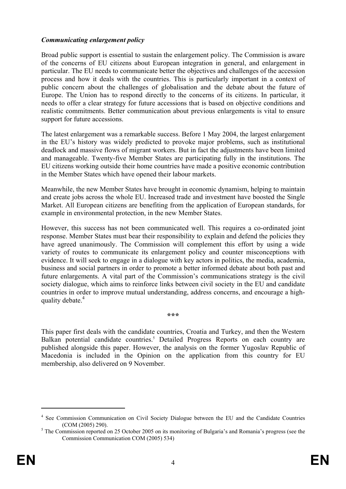#### *Communicating enlargement policy*

Broad public support is essential to sustain the enlargement policy. The Commission is aware of the concerns of EU citizens about European integration in general, and enlargement in particular. The EU needs to communicate better the objectives and challenges of the accession process and how it deals with the countries. This is particularly important in a context of public concern about the challenges of globalisation and the debate about the future of Europe. The Union has to respond directly to the concerns of its citizens. In particular, it needs to offer a clear strategy for future accessions that is based on objective conditions and realistic commitments. Better communication about previous enlargements is vital to ensure support for future accessions.

The latest enlargement was a remarkable success. Before 1 May 2004, the largest enlargement in the EU's history was widely predicted to provoke major problems, such as institutional deadlock and massive flows of migrant workers. But in fact the adjustments have been limited and manageable. Twenty-five Member States are participating fully in the institutions. The EU citizens working outside their home countries have made a positive economic contribution in the Member States which have opened their labour markets.

Meanwhile, the new Member States have brought in economic dynamism, helping to maintain and create jobs across the whole EU. Increased trade and investment have boosted the Single Market. All European citizens are benefiting from the application of European standards, for example in environmental protection, in the new Member States.

However, this success has not been communicated well. This requires a co-ordinated joint response. Member States must bear their responsibility to explain and defend the policies they have agreed unanimously. The Commission will complement this effort by using a wide variety of routes to communicate its enlargement policy and counter misconceptions with evidence. It will seek to engage in a dialogue with key actors in politics, the media, academia, business and social partners in order to promote a better informed debate about both past and future enlargements. A vital part of the Commission's communications strategy is the civil society dialogue, which aims to reinforce links between civil society in the EU and candidate countries in order to improve mutual understanding, address concerns, and encourage a highquality debate.<sup>4</sup>

**\*\*\*** 

This paper first deals with the candidate countries, Croatia and Turkey, and then the Western Balkan potential candidate countries.<sup>5</sup> Detailed Progress Reports on each country are published alongside this paper. However, the analysis on the former Yugoslav Republic of Macedonia is included in the Opinion on the application from this country for EU membership, also delivered on 9 November.

<sup>&</sup>lt;sup>4</sup> See Commission Communication on Civil Society Dialogue between the EU and the Candidate Countries

 $(COM (2005) 290)$ .<br><sup>5</sup> The Commission reported on 25 October 2005 on its monitoring of Bulgaria's and Romania's progress (see the Commission Communication COM (2005) 534)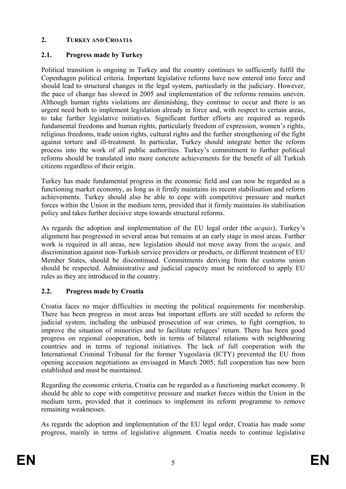## **2. TURKEY AND CROATIA**

# **2.1. Progress made by Turkey**

Political transition is ongoing in Turkey and the country continues to sufficiently fulfil the Copenhagen political criteria. Important legislative reforms have now entered into force and should lead to structural changes in the legal system, particularly in the judiciary. However, the pace of change has slowed in 2005 and implementation of the reforms remains uneven. Although human rights violations are diminishing, they continue to occur and there is an urgent need both to implement legislation already in force and, with respect to certain areas, to take further legislative initiatives. Significant further efforts are required as regards fundamental freedoms and human rights, particularly freedom of expression, women's rights, religious freedoms, trade union rights, cultural rights and the further strengthening of the fight against torture and ill-treatment. In particular, Turkey should integrate better the reform process into the work of all public authorities. Turkey's commitment to further political reforms should be translated into more concrete achievements for the benefit of all Turkish citizens regardless of their origin.

Turkey has made fundamental progress in the economic field and can now be regarded as a functioning market economy, as long as it firmly maintains its recent stabilisation and reform achievements. Turkey should also be able to cope with competitive pressure and market forces within the Union in the medium term, provided that it firmly maintains its stabilisation policy and takes further decisive steps towards structural reforms.

As regards the adoption and implementation of the EU legal order (the *acquis*), Turkey's alignment has progressed in several areas but remains at an early stage in most areas. Further work is required in all areas, new legislation should not move away from the *acquis,* and discrimination against non-Turkish service providers or products, or different treatment of EU Member States, should be discontinued. Commitments deriving from the customs union should be respected. Administrative and judicial capacity must be reinforced to apply EU rules as they are introduced in the country.

# **2.2. Progress made by Croatia**

Croatia faces no major difficulties in meeting the political requirements for membership. There has been progress in most areas but important efforts are still needed to reform the judicial system, including the unbiased prosecution of war crimes, to fight corruption, to improve the situation of minorities and to facilitate refugees' return. There has been good progress on regional cooperation, both in terms of bilateral relations with neighbouring countries and in terms of regional initiatives. The lack of full cooperation with the International Criminal Tribunal for the former Yugoslavia (ICTY) prevented the EU from opening accession negotiations as envisaged in March 2005; full cooperation has now been established and must be maintained.

Regarding the economic criteria, Croatia can be regarded as a functioning market economy. It should be able to cope with competitive pressure and market forces within the Union in the medium term, provided that it continues to implement its reform programme to remove remaining weaknesses.

As regards the adoption and implementation of the EU legal order, Croatia has made some progress, mainly in terms of legislative alignment. Croatia needs to continue legislative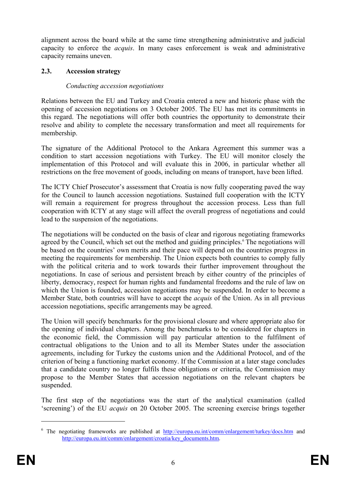alignment across the board while at the same time strengthening administrative and judicial capacity to enforce the *acquis*. In many cases enforcement is weak and administrative capacity remains uneven.

## **2.3. Accession strategy**

## *Conducting accession negotiations*

Relations between the EU and Turkey and Croatia entered a new and historic phase with the opening of accession negotiations on 3 October 2005. The EU has met its commitments in this regard. The negotiations will offer both countries the opportunity to demonstrate their resolve and ability to complete the necessary transformation and meet all requirements for membership.

The signature of the Additional Protocol to the Ankara Agreement this summer was a condition to start accession negotiations with Turkey. The EU will monitor closely the implementation of this Protocol and will evaluate this in 2006, in particular whether all restrictions on the free movement of goods, including on means of transport, have been lifted.

The ICTY Chief Prosecutor's assessment that Croatia is now fully cooperating paved the way for the Council to launch accession negotiations. Sustained full cooperation with the ICTY will remain a requirement for progress throughout the accession process. Less than full cooperation with ICTY at any stage will affect the overall progress of negotiations and could lead to the suspension of the negotiations.

The negotiations will be conducted on the basis of clear and rigorous negotiating frameworks agreed by the Council, which set out the method and guiding principles.<sup>6</sup> The negotiations will be based on the countries' own merits and their pace will depend on the countries progress in meeting the requirements for membership. The Union expects both countries to comply fully with the political criteria and to work towards their further improvement throughout the negotiations. In case of serious and persistent breach by either country of the principles of liberty, democracy, respect for human rights and fundamental freedoms and the rule of law on which the Union is founded, accession negotiations may be suspended. In order to become a Member State, both countries will have to accept the *acquis* of the Union. As in all previous accession negotiations, specific arrangements may be agreed.

The Union will specify benchmarks for the provisional closure and where appropriate also for the opening of individual chapters. Among the benchmarks to be considered for chapters in the economic field, the Commission will pay particular attention to the fulfilment of contractual obligations to the Union and to all its Member States under the association agreements, including for Turkey the customs union and the Additional Protocol, and of the criterion of being a functioning market economy. If the Commission at a later stage concludes that a candidate country no longer fulfils these obligations or criteria, the Commission may propose to the Member States that accession negotiations on the relevant chapters be suspended.

The first step of the negotiations was the start of the analytical examination (called 'screening') of the EU *acquis* on 20 October 2005. The screening exercise brings together

<sup>&</sup>lt;sup>6</sup> The negotiating frameworks are published at http://europa.eu.int/comm/enlargement/turkey/docs.htm and http://europa.eu.int/comm/enlargement/croatia/key\_documents.htm.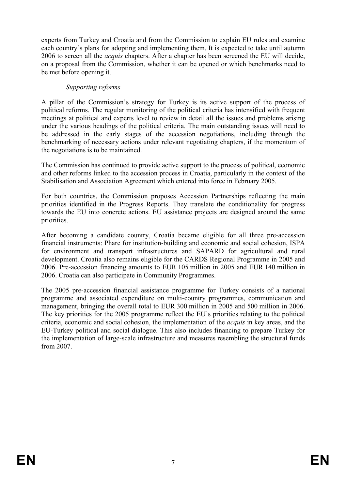experts from Turkey and Croatia and from the Commission to explain EU rules and examine each country's plans for adopting and implementing them. It is expected to take until autumn 2006 to screen all the *acquis* chapters. After a chapter has been screened the EU will decide, on a proposal from the Commission, whether it can be opened or which benchmarks need to be met before opening it.

#### *Supporting reforms*

A pillar of the Commission's strategy for Turkey is its active support of the process of political reforms. The regular monitoring of the political criteria has intensified with frequent meetings at political and experts level to review in detail all the issues and problems arising under the various headings of the political criteria. The main outstanding issues will need to be addressed in the early stages of the accession negotiations, including through the benchmarking of necessary actions under relevant negotiating chapters, if the momentum of the negotiations is to be maintained.

The Commission has continued to provide active support to the process of political, economic and other reforms linked to the accession process in Croatia, particularly in the context of the Stabilisation and Association Agreement which entered into force in February 2005.

For both countries, the Commission proposes Accession Partnerships reflecting the main priorities identified in the Progress Reports. They translate the conditionality for progress towards the EU into concrete actions. EU assistance projects are designed around the same priorities.

After becoming a candidate country, Croatia became eligible for all three pre-accession financial instruments: Phare for institution-building and economic and social cohesion, ISPA for environment and transport infrastructures and SAPARD for agricultural and rural development. Croatia also remains eligible for the CARDS Regional Programme in 2005 and 2006. Pre-accession financing amounts to EUR 105 million in 2005 and EUR 140 million in 2006. Croatia can also participate in Community Programmes.

The 2005 pre-accession financial assistance programme for Turkey consists of a national programme and associated expenditure on multi-country programmes, communication and management, bringing the overall total to EUR 300 million in 2005 and 500 million in 2006. The key priorities for the 2005 programme reflect the EU's priorities relating to the political criteria, economic and social cohesion, the implementation of the *acquis* in key areas, and the EU-Turkey political and social dialogue. This also includes financing to prepare Turkey for the implementation of large-scale infrastructure and measures resembling the structural funds from 2007.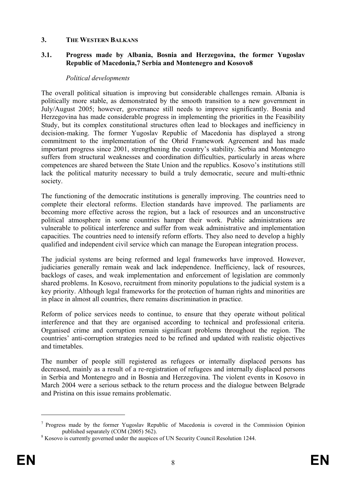#### **3. THE WESTERN BALKANS**

#### **3.1. Progress made by Albania, Bosnia and Herzegovina, the former Yugoslav Republic of Macedonia,7 Serbia and Montenegro and Kosovo8**

#### *Political developments*

The overall political situation is improving but considerable challenges remain. Albania is politically more stable, as demonstrated by the smooth transition to a new government in July/August 2005; however, governance still needs to improve significantly. Bosnia and Herzegovina has made considerable progress in implementing the priorities in the Feasibility Study, but its complex constitutional structures often lead to blockages and inefficiency in decision-making. The former Yugoslav Republic of Macedonia has displayed a strong commitment to the implementation of the Ohrid Framework Agreement and has made important progress since 2001, strengthening the country's stability. Serbia and Montenegro suffers from structural weaknesses and coordination difficulties, particularly in areas where competences are shared between the State Union and the republics. Kosovo's institutions still lack the political maturity necessary to build a truly democratic, secure and multi-ethnic society.

The functioning of the democratic institutions is generally improving. The countries need to complete their electoral reforms. Election standards have improved. The parliaments are becoming more effective across the region, but a lack of resources and an unconstructive political atmosphere in some countries hamper their work. Public administrations are vulnerable to political interference and suffer from weak administrative and implementation capacities. The countries need to intensify reform efforts. They also need to develop a highly qualified and independent civil service which can manage the European integration process.

The judicial systems are being reformed and legal frameworks have improved. However, judiciaries generally remain weak and lack independence. Inefficiency, lack of resources, backlogs of cases, and weak implementation and enforcement of legislation are commonly shared problems. In Kosovo, recruitment from minority populations to the judicial system is a key priority. Although legal frameworks for the protection of human rights and minorities are in place in almost all countries, there remains discrimination in practice.

Reform of police services needs to continue, to ensure that they operate without political interference and that they are organised according to technical and professional criteria. Organised crime and corruption remain significant problems throughout the region. The countries' anti-corruption strategies need to be refined and updated with realistic objectives and timetables.

The number of people still registered as refugees or internally displaced persons has decreased, mainly as a result of a re-registration of refugees and internally displaced persons in Serbia and Montenegro and in Bosnia and Herzegovina. The violent events in Kosovo in March 2004 were a serious setback to the return process and the dialogue between Belgrade and Pristina on this issue remains problematic.

<sup>7</sup> Progress made by the former Yugoslav Republic of Macedonia is covered in the Commission Opinion published separately  $(COM (2005) 562)$ .

<sup>&</sup>lt;sup>8</sup> Kosovo is currently governed under the auspices of UN Security Council Resolution 1244.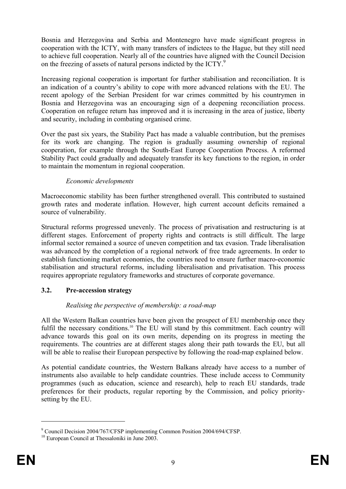Bosnia and Herzegovina and Serbia and Montenegro have made significant progress in cooperation with the ICTY, with many transfers of indictees to the Hague, but they still need to achieve full cooperation. Nearly all of the countries have aligned with the Council Decision on the freezing of assets of natural persons indicted by the ICTY. $9$ 

Increasing regional cooperation is important for further stabilisation and reconciliation. It is an indication of a country's ability to cope with more advanced relations with the EU. The recent apology of the Serbian President for war crimes committed by his countrymen in Bosnia and Herzegovina was an encouraging sign of a deepening reconciliation process. Cooperation on refugee return has improved and it is increasing in the area of justice, liberty and security, including in combating organised crime.

Over the past six years, the Stability Pact has made a valuable contribution, but the premises for its work are changing. The region is gradually assuming ownership of regional cooperation, for example through the South-East Europe Cooperation Process. A reformed Stability Pact could gradually and adequately transfer its key functions to the region, in order to maintain the momentum in regional cooperation.

## *Economic developments*

Macroeconomic stability has been further strengthened overall. This contributed to sustained growth rates and moderate inflation. However, high current account deficits remained a source of vulnerability.

Structural reforms progressed unevenly. The process of privatisation and restructuring is at different stages. Enforcement of property rights and contracts is still difficult. The large informal sector remained a source of uneven competition and tax evasion. Trade liberalisation was advanced by the completion of a regional network of free trade agreements. In order to establish functioning market economies, the countries need to ensure further macro-economic stabilisation and structural reforms, including liberalisation and privatisation. This process requires appropriate regulatory frameworks and structures of corporate governance.

# **3.2. Pre-accession strategy**

# *Realising the perspective of membership: a road-map*

All the Western Balkan countries have been given the prospect of EU membership once they fulfil the necessary conditions.<sup>10</sup> The EU will stand by this commitment. Each country will advance towards this goal on its own merits, depending on its progress in meeting the requirements. The countries are at different stages along their path towards the EU, but all will be able to realise their European perspective by following the road-map explained below.

As potential candidate countries, the Western Balkans already have access to a number of instruments also available to help candidate countries. These include access to Community programmes (such as education, science and research), help to reach EU standards, trade preferences for their products, regular reporting by the Commission, and policy prioritysetting by the EU.

<sup>&</sup>lt;sup>9</sup> Council Decision 2004/767/CFSP implementing Common Position 2004/694/CFSP.<br><sup>10</sup> European Council at Thessaloniki in June 2003.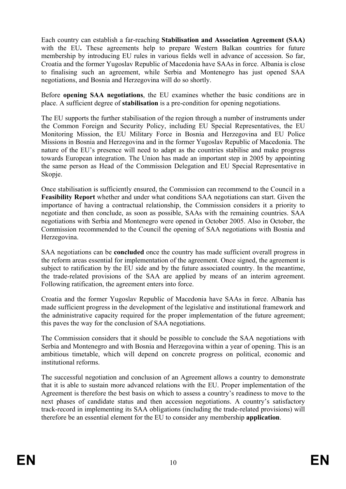Each country can establish a far-reaching **Stabilisation and Association Agreement (SAA)**  with the EU. These agreements help to prepare Western Balkan countries for future membership by introducing EU rules in various fields well in advance of accession. So far, Croatia and the former Yugoslav Republic of Macedonia have SAAs in force. Albania is close to finalising such an agreement, while Serbia and Montenegro has just opened SAA negotiations, and Bosnia and Herzegovina will do so shortly.

Before **opening SAA negotiations**, the EU examines whether the basic conditions are in place. A sufficient degree of **stabilisation** is a pre-condition for opening negotiations.

The EU supports the further stabilisation of the region through a number of instruments under the Common Foreign and Security Policy, including EU Special Representatives, the EU Monitoring Mission, the EU Military Force in Bosnia and Herzegovina and EU Police Missions in Bosnia and Herzegovina and in the former Yugoslav Republic of Macedonia. The nature of the EU's presence will need to adapt as the countries stabilise and make progress towards European integration. The Union has made an important step in 2005 by appointing the same person as Head of the Commission Delegation and EU Special Representative in Skopje.

Once stabilisation is sufficiently ensured, the Commission can recommend to the Council in a **Feasibility Report** whether and under what conditions SAA negotiations can start. Given the importance of having a contractual relationship, the Commission considers it a priority to negotiate and then conclude, as soon as possible, SAAs with the remaining countries. SAA negotiations with Serbia and Montenegro were opened in October 2005. Also in October, the Commission recommended to the Council the opening of SAA negotiations with Bosnia and Herzegovina.

SAA negotiations can be **concluded** once the country has made sufficient overall progress in the reform areas essential for implementation of the agreement. Once signed, the agreement is subject to ratification by the EU side and by the future associated country. In the meantime, the trade-related provisions of the SAA are applied by means of an interim agreement. Following ratification, the agreement enters into force.

Croatia and the former Yugoslav Republic of Macedonia have SAAs in force. Albania has made sufficient progress in the development of the legislative and institutional framework and the administrative capacity required for the proper implementation of the future agreement; this paves the way for the conclusion of SAA negotiations.

The Commission considers that it should be possible to conclude the SAA negotiations with Serbia and Montenegro and with Bosnia and Herzegovina within a year of opening. This is an ambitious timetable, which will depend on concrete progress on political, economic and institutional reforms.

The successful negotiation and conclusion of an Agreement allows a country to demonstrate that it is able to sustain more advanced relations with the EU. Proper implementation of the Agreement is therefore the best basis on which to assess a country's readiness to move to the next phases of candidate status and then accession negotiations. A country's satisfactory track-record in implementing its SAA obligations (including the trade-related provisions) will therefore be an essential element for the EU to consider any membership **application**.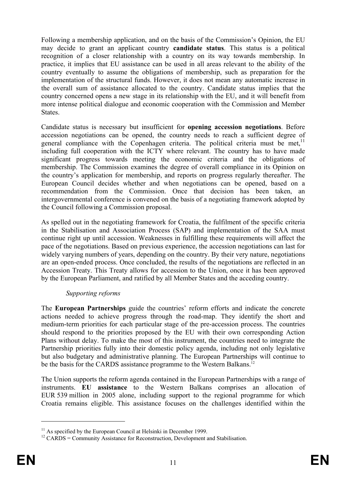Following a membership application, and on the basis of the Commission's Opinion, the EU may decide to grant an applicant country **candidate status**. This status is a political recognition of a closer relationship with a country on its way towards membership. In practice, it implies that EU assistance can be used in all areas relevant to the ability of the country eventually to assume the obligations of membership, such as preparation for the implementation of the structural funds. However, it does not mean any automatic increase in the overall sum of assistance allocated to the country. Candidate status implies that the country concerned opens a new stage in its relationship with the EU, and it will benefit from more intense political dialogue and economic cooperation with the Commission and Member **States** 

Candidate status is necessary but insufficient for **opening accession negotiations**. Before accession negotiations can be opened, the country needs to reach a sufficient degree of general compliance with the Copenhagen criteria. The political criteria must be met, $11$ including full cooperation with the ICTY where relevant. The country has to have made significant progress towards meeting the economic criteria and the obligations of membership. The Commission examines the degree of overall compliance in its Opinion on the country's application for membership, and reports on progress regularly thereafter. The European Council decides whether and when negotiations can be opened, based on a recommendation from the Commission. Once that decision has been taken, an intergovernmental conference is convened on the basis of a negotiating framework adopted by the Council following a Commission proposal.

As spelled out in the negotiating framework for Croatia, the fulfilment of the specific criteria in the Stabilisation and Association Process (SAP) and implementation of the SAA must continue right up until accession. Weaknesses in fulfilling these requirements will affect the pace of the negotiations. Based on previous experience, the accession negotiations can last for widely varying numbers of years, depending on the country. By their very nature, negotiations are an open-ended process. Once concluded, the results of the negotiations are reflected in an Accession Treaty. This Treaty allows for accession to the Union, once it has been approved by the European Parliament, and ratified by all Member States and the acceding country.

# *Supporting reforms*

The **European Partnerships** guide the countries' reform efforts and indicate the concrete actions needed to achieve progress through the road-map. They identify the short and medium-term priorities for each particular stage of the pre-accession process. The countries should respond to the priorities proposed by the EU with their own corresponding Action Plans without delay. To make the most of this instrument, the countries need to integrate the Partnership priorities fully into their domestic policy agenda, including not only legislative but also budgetary and administrative planning. The European Partnerships will continue to be the basis for the CARDS assistance programme to the Western Balkans.<sup>12</sup>

The Union supports the reform agenda contained in the European Partnerships with a range of instruments. **EU assistance** to the Western Balkans comprises an allocation of EUR 539 million in 2005 alone, including support to the regional programme for which Croatia remains eligible. This assistance focuses on the challenges identified within the

<sup>&</sup>lt;sup>11</sup> As specified by the European Council at Helsinki in December 1999.<br><sup>12</sup> CARDS = Community Assistance for Reconstruction, Development and Stabilisation.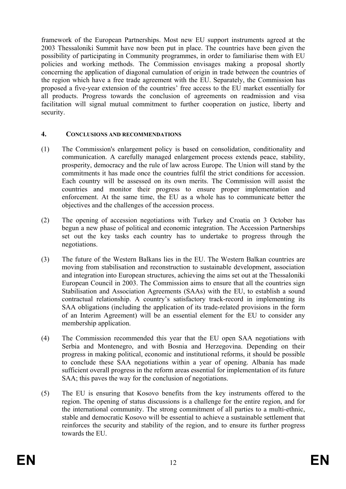framework of the European Partnerships. Most new EU support instruments agreed at the 2003 Thessaloniki Summit have now been put in place. The countries have been given the possibility of participating in Community programmes, in order to familiarise them with EU policies and working methods. The Commission envisages making a proposal shortly concerning the application of diagonal cumulation of origin in trade between the countries of the region which have a free trade agreement with the EU. Separately, the Commission has proposed a five-year extension of the countries' free access to the EU market essentially for all products. Progress towards the conclusion of agreements on readmission and visa facilitation will signal mutual commitment to further cooperation on justice, liberty and security.

#### **4. CONCLUSIONS AND RECOMMENDATIONS**

- (1) The Commission's enlargement policy is based on consolidation, conditionality and communication. A carefully managed enlargement process extends peace, stability, prosperity, democracy and the rule of law across Europe. The Union will stand by the commitments it has made once the countries fulfil the strict conditions for accession. Each country will be assessed on its own merits. The Commission will assist the countries and monitor their progress to ensure proper implementation and enforcement. At the same time, the EU as a whole has to communicate better the objectives and the challenges of the accession process.
- (2) The opening of accession negotiations with Turkey and Croatia on 3 October has begun a new phase of political and economic integration. The Accession Partnerships set out the key tasks each country has to undertake to progress through the negotiations.
- (3) The future of the Western Balkans lies in the EU. The Western Balkan countries are moving from stabilisation and reconstruction to sustainable development, association and integration into European structures, achieving the aims set out at the Thessaloniki European Council in 2003. The Commission aims to ensure that all the countries sign Stabilisation and Association Agreements (SAAs) with the EU, to establish a sound contractual relationship. A country's satisfactory track-record in implementing its SAA obligations (including the application of its trade-related provisions in the form of an Interim Agreement) will be an essential element for the EU to consider any membership application.
- (4) The Commission recommended this year that the EU open SAA negotiations with Serbia and Montenegro, and with Bosnia and Herzegovina. Depending on their progress in making political, economic and institutional reforms, it should be possible to conclude these SAA negotiations within a year of opening. Albania has made sufficient overall progress in the reform areas essential for implementation of its future SAA; this paves the way for the conclusion of negotiations.
- (5) The EU is ensuring that Kosovo benefits from the key instruments offered to the region. The opening of status discussions is a challenge for the entire region, and for the international community. The strong commitment of all parties to a multi-ethnic, stable and democratic Kosovo will be essential to achieve a sustainable settlement that reinforces the security and stability of the region, and to ensure its further progress towards the EU.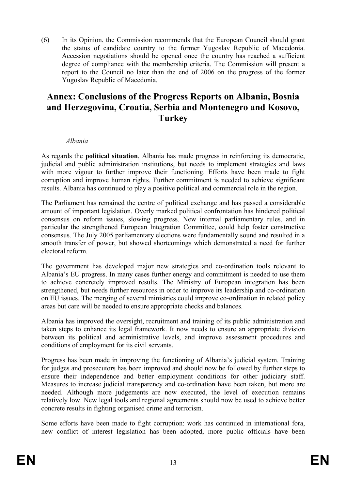(6) In its Opinion, the Commission recommends that the European Council should grant the status of candidate country to the former Yugoslav Republic of Macedonia. Accession negotiations should be opened once the country has reached a sufficient degree of compliance with the membership criteria. The Commission will present a report to the Council no later than the end of 2006 on the progress of the former Yugoslav Republic of Macedonia.

# **Annex: Conclusions of the Progress Reports on Albania, Bosnia and Herzegovina, Croatia, Serbia and Montenegro and Kosovo, Turkey**

#### *Albania*

As regards the **political situation**, Albania has made progress in reinforcing its democratic, judicial and public administration institutions, but needs to implement strategies and laws with more vigour to further improve their functioning. Efforts have been made to fight corruption and improve human rights. Further commitment is needed to achieve significant results. Albania has continued to play a positive political and commercial role in the region.

The Parliament has remained the centre of political exchange and has passed a considerable amount of important legislation. Overly marked political confrontation has hindered political consensus on reform issues, slowing progress. New internal parliamentary rules, and in particular the strengthened European Integration Committee, could help foster constructive consensus. The July 2005 parliamentary elections were fundamentally sound and resulted in a smooth transfer of power, but showed shortcomings which demonstrated a need for further electoral reform.

The government has developed major new strategies and co-ordination tools relevant to Albania's EU progress. In many cases further energy and commitment is needed to use them to achieve concretely improved results. The Ministry of European integration has been strengthened, but needs further resources in order to improve its leadership and co-ordination on EU issues. The merging of several ministries could improve co-ordination in related policy areas but care will be needed to ensure appropriate checks and balances.

Albania has improved the oversight, recruitment and training of its public administration and taken steps to enhance its legal framework. It now needs to ensure an appropriate division between its political and administrative levels, and improve assessment procedures and conditions of employment for its civil servants.

Progress has been made in improving the functioning of Albania's judicial system. Training for judges and prosecutors has been improved and should now be followed by further steps to ensure their independence and better employment conditions for other judiciary staff. Measures to increase judicial transparency and co-ordination have been taken, but more are needed. Although more judgements are now executed, the level of execution remains relatively low. New legal tools and regional agreements should now be used to achieve better concrete results in fighting organised crime and terrorism.

Some efforts have been made to fight corruption: work has continued in international fora, new conflict of interest legislation has been adopted, more public officials have been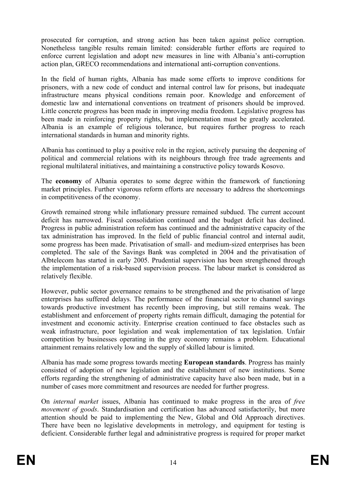prosecuted for corruption, and strong action has been taken against police corruption. Nonetheless tangible results remain limited: considerable further efforts are required to enforce current legislation and adopt new measures in line with Albania's anti-corruption action plan, GRECO recommendations and international anti-corruption conventions.

In the field of human rights, Albania has made some efforts to improve conditions for prisoners, with a new code of conduct and internal control law for prisons, but inadequate infrastructure means physical conditions remain poor. Knowledge and enforcement of domestic law and international conventions on treatment of prisoners should be improved. Little concrete progress has been made in improving media freedom. Legislative progress has been made in reinforcing property rights, but implementation must be greatly accelerated. Albania is an example of religious tolerance, but requires further progress to reach international standards in human and minority rights.

Albania has continued to play a positive role in the region, actively pursuing the deepening of political and commercial relations with its neighbours through free trade agreements and regional multilateral initiatives, and maintaining a constructive policy towards Kosovo.

The **economy** of Albania operates to some degree within the framework of functioning market principles. Further vigorous reform efforts are necessary to address the shortcomings in competitiveness of the economy.

Growth remained strong while inflationary pressure remained subdued. The current account deficit has narrowed. Fiscal consolidation continued and the budget deficit has declined. Progress in public administration reform has continued and the administrative capacity of the tax administration has improved. In the field of public financial control and internal audit, some progress has been made. Privatisation of small- and medium-sized enterprises has been completed. The sale of the Savings Bank was completed in 2004 and the privatisation of Albtelecom has started in early 2005. Prudential supervision has been strengthened through the implementation of a risk-based supervision process. The labour market is considered as relatively flexible.

However, public sector governance remains to be strengthened and the privatisation of large enterprises has suffered delays. The performance of the financial sector to channel savings towards productive investment has recently been improving, but still remains weak. The establishment and enforcement of property rights remain difficult, damaging the potential for investment and economic activity. Enterprise creation continued to face obstacles such as weak infrastructure, poor legislation and weak implementation of tax legislation. Unfair competition by businesses operating in the grey economy remains a problem. Educational attainment remains relatively low and the supply of skilled labour is limited.

Albania has made some progress towards meeting **European standards**. Progress has mainly consisted of adoption of new legislation and the establishment of new institutions. Some efforts regarding the strengthening of administrative capacity have also been made, but in a number of cases more commitment and resources are needed for further progress.

On *internal market* issues, Albania has continued to make progress in the area of *free movement of goods*. Standardisation and certification has advanced satisfactorily, but more attention should be paid to implementing the New, Global and Old Approach directives. There have been no legislative developments in metrology, and equipment for testing is deficient. Considerable further legal and administrative progress is required for proper market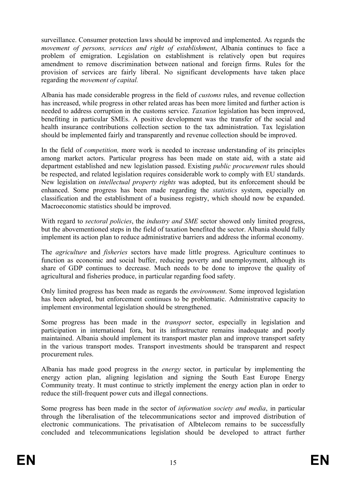surveillance. Consumer protection laws should be improved and implemented. As regards the *movement of persons, services and right of establishment*, Albania continues to face a problem of emigration. Legislation on establishment is relatively open but requires amendment to remove discrimination between national and foreign firms. Rules for the provision of services are fairly liberal. No significant developments have taken place regarding the *movement of capital.*

Albania has made considerable progress in the field of *customs* rules, and revenue collection has increased, while progress in other related areas has been more limited and further action is needed to address corruption in the customs service. *Taxation* legislation has been improved, benefiting in particular SMEs. A positive development was the transfer of the social and health insurance contributions collection section to the tax administration. Tax legislation should be implemented fairly and transparently and revenue collection should be improved.

In the field of *competition,* more work is needed to increase understanding of its principles among market actors. Particular progress has been made on state aid, with a state aid department established and new legislation passed. Existing *public procurement* rules should be respected, and related legislation requires considerable work to comply with EU standards. New legislation on *intellectual property rights* was adopted, but its enforcement should be enhanced. Some progress has been made regarding the *statistics* system, especially on classification and the establishment of a business registry, which should now be expanded. Macroeconomic statistics should be improved.

With regard to *sectoral policies*, the *industry and SME* sector showed only limited progress, but the abovementioned steps in the field of taxation benefited the sector. Albania should fully implement its action plan to reduce administrative barriers and address the informal economy.

The *agriculture* and *fisheries* sectors have made little progress. Agriculture continues to function as economic and social buffer, reducing poverty and unemployment, although its share of GDP continues to decrease. Much needs to be done to improve the quality of agricultural and fisheries produce, in particular regarding food safety.

Only limited progress has been made as regards the *environment*. Some improved legislation has been adopted, but enforcement continues to be problematic. Administrative capacity to implement environmental legislation should be strengthened.

Some progress has been made in the *transport* sector, especially in legislation and participation in international fora, but its infrastructure remains inadequate and poorly maintained. Albania should implement its transport master plan and improve transport safety in the various transport modes. Transport investments should be transparent and respect procurement rules.

Albania has made good progress in the *energy* sector*,* in particular by implementing the energy action plan, aligning legislation and signing the South East Europe Energy Community treaty. It must continue to strictly implement the energy action plan in order to reduce the still-frequent power cuts and illegal connections.

Some progress has been made in the sector of *information society and media*, in particular through the liberalisation of the telecommunications sector and improved distribution of electronic communications. The privatisation of Albtelecom remains to be successfully concluded and telecommunications legislation should be developed to attract further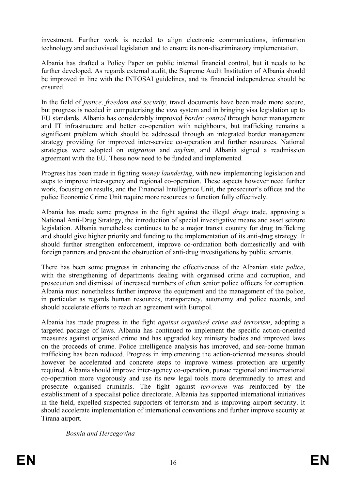investment. Further work is needed to align electronic communications, information technology and audiovisual legislation and to ensure its non-discriminatory implementation.

Albania has drafted a Policy Paper on public internal financial control, but it needs to be further developed. As regards external audit, the Supreme Audit Institution of Albania should be improved in line with the INTOSAI guidelines, and its financial independence should be ensured.

In the field of *justice, freedom and security*, travel documents have been made more secure, but progress is needed in computerising the *visa* system and in bringing visa legislation up to EU standards. Albania has considerably improved *border control* through better management and IT infrastructure and better co-operation with neighbours, but trafficking remains a significant problem which should be addressed through an integrated border management strategy providing for improved inter-service co-operation and further resources. National strategies were adopted on *migration* and *asylum*, and Albania signed a readmission agreement with the EU. These now need to be funded and implemented.

Progress has been made in fighting *money laundering*, with new implementing legislation and steps to improve inter-agency and regional co-operation. These aspects however need further work, focusing on results, and the Financial Intelligence Unit, the prosecutor's offices and the police Economic Crime Unit require more resources to function fully effectively.

Albania has made some progress in the fight against the illegal *drugs* trade, approving a National Anti-Drug Strategy, the introduction of special investigative means and asset seizure legislation. Albania nonetheless continues to be a major transit country for drug trafficking and should give higher priority and funding to the implementation of its anti-drug strategy. It should further strengthen enforcement, improve co-ordination both domestically and with foreign partners and prevent the obstruction of anti-drug investigations by public servants.

There has been some progress in enhancing the effectiveness of the Albanian state *police*, with the strengthening of departments dealing with organised crime and corruption, and prosecution and dismissal of increased numbers of often senior police officers for corruption. Albania must nonetheless further improve the equipment and the management of the police, in particular as regards human resources, transparency, autonomy and police records, and should accelerate efforts to reach an agreement with Europol.

Albania has made progress in the fight *against organised crime and terrorism*, adopting a targeted package of laws. Albania has continued to implement the specific action-oriented measures against organised crime and has upgraded key ministry bodies and improved laws on the proceeds of crime. Police intelligence analysis has improved, and sea-borne human trafficking has been reduced. Progress in implementing the action-oriented measures should however be accelerated and concrete steps to improve witness protection are urgently required. Albania should improve inter-agency co-operation, pursue regional and international co-operation more vigorously and use its new legal tools more determinedly to arrest and prosecute organised criminals. The fight against *terrorism* was reinforced by the establishment of a specialist police directorate. Albania has supported international initiatives in the field, expelled suspected supporters of terrorism and is improving airport security. It should accelerate implementation of international conventions and further improve security at Tirana airport.

*Bosnia and Herzegovina*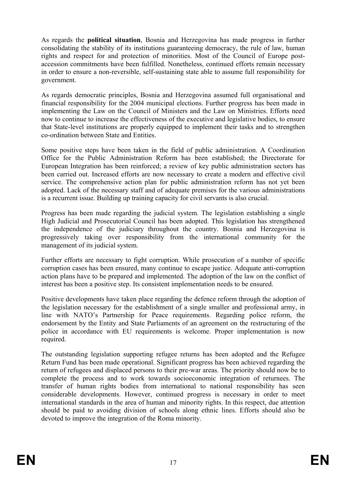As regards the **political situation**, Bosnia and Herzegovina has made progress in further consolidating the stability of its institutions guaranteeing democracy, the rule of law, human rights and respect for and protection of minorities. Most of the Council of Europe postaccession commitments have been fulfilled. Nonetheless, continued efforts remain necessary in order to ensure a non-reversible, self-sustaining state able to assume full responsibility for government.

As regards democratic principles, Bosnia and Herzegovina assumed full organisational and financial responsibility for the 2004 municipal elections. Further progress has been made in implementing the Law on the Council of Ministers and the Law on Ministries. Efforts need now to continue to increase the effectiveness of the executive and legislative bodies, to ensure that State-level institutions are properly equipped to implement their tasks and to strengthen co-ordination between State and Entities.

Some positive steps have been taken in the field of public administration. A Coordination Office for the Public Administration Reform has been established; the Directorate for European Integration has been reinforced; a review of key public administration sectors has been carried out. Increased efforts are now necessary to create a modern and effective civil service. The comprehensive action plan for public administration reform has not yet been adopted. Lack of the necessary staff and of adequate premises for the various administrations is a recurrent issue. Building up training capacity for civil servants is also crucial.

Progress has been made regarding the judicial system. The legislation establishing a single High Judicial and Prosecutorial Council has been adopted. This legislation has strengthened the independence of the judiciary throughout the country. Bosnia and Herzegovina is progressively taking over responsibility from the international community for the management of its judicial system.

Further efforts are necessary to fight corruption. While prosecution of a number of specific corruption cases has been ensured, many continue to escape justice. Adequate anti-corruption action plans have to be prepared and implemented. The adoption of the law on the conflict of interest has been a positive step. Its consistent implementation needs to be ensured.

Positive developments have taken place regarding the defence reform through the adoption of the legislation necessary for the establishment of a single smaller and professional army, in line with NATO's Partnership for Peace requirements. Regarding police reform, the endorsement by the Entity and State Parliaments of an agreement on the restructuring of the police in accordance with EU requirements is welcome. Proper implementation is now required.

The outstanding legislation supporting refugee returns has been adopted and the Refugee Return Fund has been made operational. Significant progress has been achieved regarding the return of refugees and displaced persons to their pre-war areas. The priority should now be to complete the process and to work towards socioeconomic integration of returnees. The transfer of human rights bodies from international to national responsibility has seen considerable developments. However, continued progress is necessary in order to meet international standards in the area of human and minority rights. In this respect, due attention should be paid to avoiding division of schools along ethnic lines. Efforts should also be devoted to improve the integration of the Roma minority.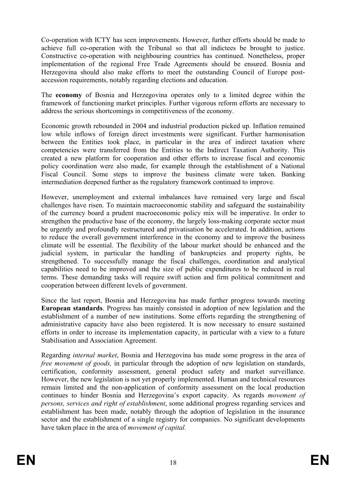Co-operation with ICTY has seen improvements. However, further efforts should be made to achieve full co-operation with the Tribunal so that all indictees be brought to justice. Constructive co-operation with neighbouring countries has continued. Nonetheless, proper implementation of the regional Free Trade Agreements should be ensured. Bosnia and Herzegovina should also make efforts to meet the outstanding Council of Europe postaccession requirements, notably regarding elections and education.

The **economy** of Bosnia and Herzegovina operates only to a limited degree within the framework of functioning market principles. Further vigorous reform efforts are necessary to address the serious shortcomings in competitiveness of the economy.

Economic growth rebounded in 2004 and industrial production picked up. Inflation remained low while inflows of foreign direct investments were significant. Further harmonisation between the Entities took place, in particular in the area of indirect taxation where competencies were transferred from the Entities to the Indirect Taxation Authority. This created a new platform for cooperation and other efforts to increase fiscal and economic policy coordination were also made, for example through the establishment of a National Fiscal Council. Some steps to improve the business climate were taken. Banking intermediation deepened further as the regulatory framework continued to improve.

However, unemployment and external imbalances have remained very large and fiscal challenges have risen. To maintain macroeconomic stability and safeguard the sustainability of the currency board a prudent macroeconomic policy mix will be imperative. In order to strengthen the productive base of the economy, the largely loss-making corporate sector must be urgently and profoundly restructured and privatisation be accelerated. In addition, actions to reduce the overall government interference in the economy and to improve the business climate will be essential. The flexibility of the labour market should be enhanced and the judicial system, in particular the handling of bankruptcies and property rights, be strengthened. To successfully manage the fiscal challenges, coordination and analytical capabilities need to be improved and the size of public expenditures to be reduced in real terms. These demanding tasks will require swift action and firm political commitment and cooperation between different levels of government.

Since the last report, Bosnia and Herzegovina has made further progress towards meeting **European standards**. Progress has mainly consisted in adoption of new legislation and the establishment of a number of new institutions. Some efforts regarding the strengthening of administrative capacity have also been registered. It is now necessary to ensure sustained efforts in order to increase its implementation capacity, in particular with a view to a future Stabilisation and Association Agreement.

Regarding *internal market*, Bosnia and Herzegovina has made some progress in the area of *free movement of goods, in particular through the adoption of new legislation on standards,* certification, conformity assessment, general product safety and market surveillance. However, the new legislation is not yet properly implemented. Human and technical resources remain limited and the non-application of conformity assessment on the local production continues to hinder Bosnia and Herzegovina's export capacity. As regards *movement of persons, services and right of establishment*, some additional progress regarding services and establishment has been made, notably through the adoption of legislation in the insurance sector and the establishment of a single registry for companies. No significant developments have taken place in the area of *movement of capital.*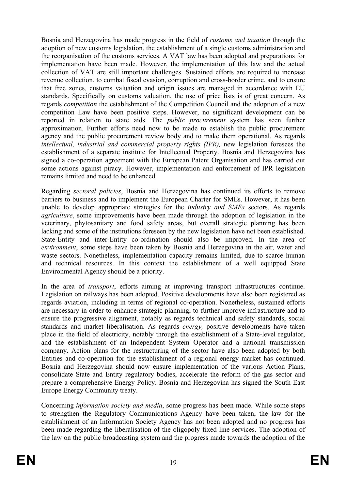Bosnia and Herzegovina has made progress in the field of *customs and taxation* through the adoption of new customs legislation, the establishment of a single customs administration and the reorganisation of the customs services. A VAT law has been adopted and preparations for implementation have been made. However, the implementation of this law and the actual collection of VAT are still important challenges. Sustained efforts are required to increase revenue collection, to combat fiscal evasion, corruption and cross-border crime, and to ensure that free zones, customs valuation and origin issues are managed in accordance with EU standards. Specifically on customs valuation, the use of price lists is of great concern. As regards *competition* the establishment of the Competition Council and the adoption of a new competition Law have been positive steps. However, no significant development can be reported in relation to state aids. The *public procurement* system has seen further approximation. Further efforts need now to be made to establish the public procurement agency and the public procurement review body and to make them operational. As regards *intellectual, industrial and commercial property rights (IPR)*, new legislation foresees the establishment of a separate institute for Intellectual Property. Bosnia and Herzegovina has signed a co-operation agreement with the European Patent Organisation and has carried out some actions against piracy. However, implementation and enforcement of IPR legislation remains limited and need to be enhanced.

Regarding *sectoral policies*, Bosnia and Herzegovina has continued its efforts to remove barriers to business and to implement the European Charter for SMEs. However, it has been unable to develop appropriate strategies for the *industry and SMEs* sectors. As regards *agriculture*, some improvements have been made through the adoption of legislation in the veterinary, phytosanitary and food safety areas, but overall strategic planning has been lacking and some of the institutions foreseen by the new legislation have not been established. State-Entity and inter-Entity co-ordination should also be improved. In the area of *environment*, some steps have been taken by Bosnia and Herzegovina in the air, water and waste sectors. Nonetheless, implementation capacity remains limited, due to scarce human and technical resources. In this context the establishment of a well equipped State Environmental Agency should be a priority.

In the area of *transport*, efforts aiming at improving transport infrastructures continue. Legislation on railways has been adopted. Positive developments have also been registered as regards aviation, including in terms of regional co-operation. Nonetheless, sustained efforts are necessary in order to enhance strategic planning, to further improve infrastructure and to ensure the progressive alignment, notably as regards technical and safety standards, social standards and market liberalisation. As regards *energy,* positive developments have taken place in the field of electricity, notably through the establishment of a State-level regulator, and the establishment of an Independent System Operator and a national transmission company. Action plans for the restructuring of the sector have also been adopted by both Entities and co-operation for the establishment of a regional energy market has continued. Bosnia and Herzegovina should now ensure implementation of the various Action Plans, consolidate State and Entity regulatory bodies, accelerate the reform of the gas sector and prepare a comprehensive Energy Policy. Bosnia and Herzegovina has signed the South East Europe Energy Community treaty.

Concerning *information society and media*, some progress has been made. While some steps to strengthen the Regulatory Communications Agency have been taken, the law for the establishment of an Information Society Agency has not been adopted and no progress has been made regarding the liberalisation of the oligopoly fixed-line services. The adoption of the law on the public broadcasting system and the progress made towards the adoption of the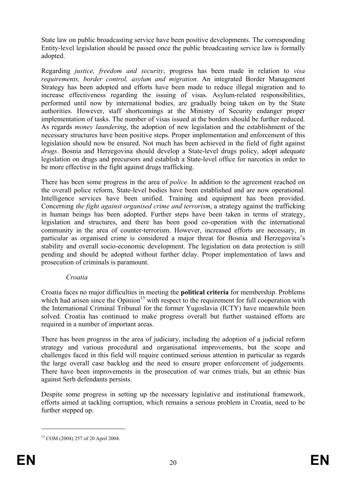State law on public broadcasting service have been positive developments. The corresponding Entity-level legislation should be passed once the public broadcasting service law is formally adopted.

Regarding *justice, freedom and security*, progress has been made in relation to *visa requirements, border control, asylum and migration*. An integrated Border Management Strategy has been adopted and efforts have been made to reduce illegal migration and to increase effectiveness regarding the issuing of visas. Asylum-related responsibilities, performed until now by international bodies, are gradually being taken on by the State authorities. However, staff shortcomings at the Ministry of Security endanger proper implementation of tasks. The number of visas issued at the borders should be further reduced. As regards *money laundering*, the adoption of new legislation and the establishment of the necessary structures have been positive steps. Proper implementation and enforcement of this legislation should now be ensured. Not much has been achieved in the field of fight against *drugs*. Bosnia and Herzegovina should develop a State-level drugs policy, adopt adequate legislation on drugs and precursors and establish a State-level office for narcotics in order to be more effective in the fight against drugs trafficking.

There has been some progress in the area of *police*. In addition to the agreement reached on the overall police reform, State-level bodies have been established and are now operational. Intelligence services have been unified. Training and equipment has been provided. Concerning *the fight against organised crime and terrorism*, a strategy against the trafficking in human beings has been adopted. Further steps have been taken in terms of strategy, legislation and structures, and there has been good co-operation with the international community in the area of counter-terrorism. However, increased efforts are necessary, in particular as organised crime is considered a major threat for Bosnia and Herzegovina's stability and overall socio-economic development. The legislation on data protection is still pending and should be adopted without further delay. Proper implementation of laws and prosecution of criminals is paramount.

#### *Croatia*

Croatia faces no major difficulties in meeting the **political criteria** for membership. Problems which had arisen since the Opinion<sup>13</sup> with respect to the requirement for full cooperation with the International Criminal Tribunal for the former Yugoslavia (ICTY) have meanwhile been solved. Croatia has continued to make progress overall but further sustained efforts are required in a number of important areas.

There has been progress in the area of judiciary, including the adoption of a judicial reform strategy and various procedural and organisational improvements, but the scope and challenges faced in this field will require continued serious attention in particular as regards the large overall case backlog and the need to ensure proper enforcement of judgements. There have been improvements in the prosecution of war crimes trials, but an ethnic bias against Serb defendants persists.

Despite some progress in setting up the necessary legislative and institutional framework, efforts aimed at tackling corruption, which remains a serious problem in Croatia, need to be further stepped up.

<sup>13</sup> COM (2004) 257 of 20 April 2004.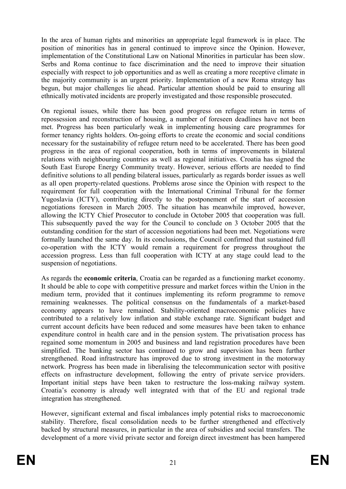In the area of human rights and minorities an appropriate legal framework is in place. The position of minorities has in general continued to improve since the Opinion. However, implementation of the Constitutional Law on National Minorities in particular has been slow. Serbs and Roma continue to face discrimination and the need to improve their situation especially with respect to job opportunities and as well as creating a more receptive climate in the majority community is an urgent priority. Implementation of a new Roma strategy has begun, but major challenges lie ahead. Particular attention should be paid to ensuring all ethnically motivated incidents are properly investigated and those responsible prosecuted.

On regional issues, while there has been good progress on refugee return in terms of repossession and reconstruction of housing, a number of foreseen deadlines have not been met. Progress has been particularly weak in implementing housing care programmes for former tenancy rights holders. On-going efforts to create the economic and social conditions necessary for the sustainability of refugee return need to be accelerated. There has been good progress in the area of regional cooperation, both in terms of improvements in bilateral relations with neighbouring countries as well as regional initiatives. Croatia has signed the South East Europe Energy Community treaty. However, serious efforts are needed to find definitive solutions to all pending bilateral issues, particularly as regards border issues as well as all open property-related questions. Problems arose since the Opinion with respect to the requirement for full cooperation with the International Criminal Tribunal for the former Yugoslavia (ICTY), contributing directly to the postponement of the start of accession negotiations foreseen in March 2005. The situation has meanwhile improved, however, allowing the ICTY Chief Prosecutor to conclude in October 2005 that cooperation was full. This subsequently paved the way for the Council to conclude on 3 October 2005 that the outstanding condition for the start of accession negotiations had been met. Negotiations were formally launched the same day. In its conclusions, the Council confirmed that sustained full co-operation with the ICTY would remain a requirement for progress throughout the accession progress. Less than full cooperation with ICTY at any stage could lead to the suspension of negotiations.

As regards the **economic criteria**, Croatia can be regarded as a functioning market economy. It should be able to cope with competitive pressure and market forces within the Union in the medium term, provided that it continues implementing its reform programme to remove remaining weaknesses. The political consensus on the fundamentals of a market-based economy appears to have remained. Stability-oriented macroeconomic policies have contributed to a relatively low inflation and stable exchange rate. Significant budget and current account deficits have been reduced and some measures have been taken to enhance expenditure control in health care and in the pension system. The privatisation process has regained some momentum in 2005 and business and land registration procedures have been simplified. The banking sector has continued to grow and supervision has been further strengthened. Road infrastructure has improved due to strong investment in the motorway network. Progress has been made in liberalising the telecommunication sector with positive effects on infrastructure development, following the entry of private service providers. Important initial steps have been taken to restructure the loss-making railway system. Croatia's economy is already well integrated with that of the EU and regional trade integration has strengthened.

However, significant external and fiscal imbalances imply potential risks to macroeconomic stability. Therefore, fiscal consolidation needs to be further strengthened and effectively backed by structural measures, in particular in the area of subsidies and social transfers. The development of a more vivid private sector and foreign direct investment has been hampered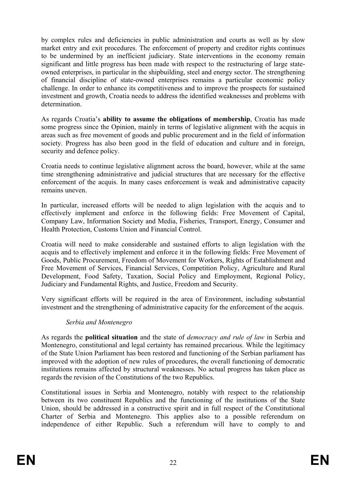by complex rules and deficiencies in public administration and courts as well as by slow market entry and exit procedures. The enforcement of property and creditor rights continues to be undermined by an inefficient judiciary. State interventions in the economy remain significant and little progress has been made with respect to the restructuring of large stateowned enterprises, in particular in the shipbuilding, steel and energy sector. The strengthening of financial discipline of state-owned enterprises remains a particular economic policy challenge. In order to enhance its competitiveness and to improve the prospects for sustained investment and growth, Croatia needs to address the identified weaknesses and problems with determination.

As regards Croatia's **ability to assume the obligations of membership**, Croatia has made some progress since the Opinion, mainly in terms of legislative alignment with the acquis in areas such as free movement of goods and public procurement and in the field of information society. Progress has also been good in the field of education and culture and in foreign, security and defence policy.

Croatia needs to continue legislative alignment across the board, however, while at the same time strengthening administrative and judicial structures that are necessary for the effective enforcement of the acquis. In many cases enforcement is weak and administrative capacity remains uneven.

In particular, increased efforts will be needed to align legislation with the acquis and to effectively implement and enforce in the following fields: Free Movement of Capital, Company Law, Information Society and Media, Fisheries, Transport, Energy, Consumer and Health Protection, Customs Union and Financial Control.

Croatia will need to make considerable and sustained efforts to align legislation with the acquis and to effectively implement and enforce it in the following fields: Free Movement of Goods, Public Procurement, Freedom of Movement for Workers, Rights of Establishment and Free Movement of Services, Financial Services, Competition Policy, Agriculture and Rural Development, Food Safety, Taxation, Social Policy and Employment, Regional Policy, Judiciary and Fundamental Rights, and Justice, Freedom and Security.

Very significant efforts will be required in the area of Environment, including substantial investment and the strengthening of administrative capacity for the enforcement of the acquis.

#### *Serbia and Montenegro*

As regards the **political situation** and the state of *democracy and rule of law* in Serbia and Montenegro, constitutional and legal certainty has remained precarious. While the legitimacy of the State Union Parliament has been restored and functioning of the Serbian parliament has improved with the adoption of new rules of procedures, the overall functioning of democratic institutions remains affected by structural weaknesses. No actual progress has taken place as regards the revision of the Constitutions of the two Republics.

Constitutional issues in Serbia and Montenegro, notably with respect to the relationship between its two constituent Republics and the functioning of the institutions of the State Union, should be addressed in a constructive spirit and in full respect of the Constitutional Charter of Serbia and Montenegro. This applies also to a possible referendum on independence of either Republic. Such a referendum will have to comply to and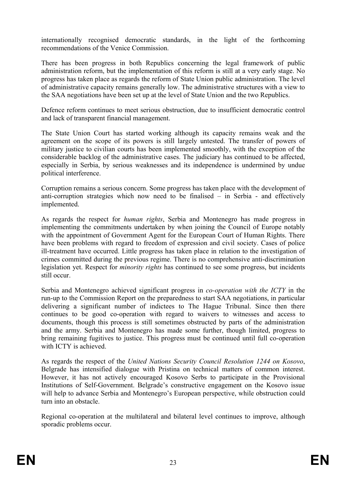internationally recognised democratic standards, in the light of the forthcoming recommendations of the Venice Commission.

There has been progress in both Republics concerning the legal framework of public administration reform, but the implementation of this reform is still at a very early stage. No progress has taken place as regards the reform of State Union public administration. The level of administrative capacity remains generally low. The administrative structures with a view to the SAA negotiations have been set up at the level of State Union and the two Republics.

Defence reform continues to meet serious obstruction, due to insufficient democratic control and lack of transparent financial management.

The State Union Court has started working although its capacity remains weak and the agreement on the scope of its powers is still largely untested. The transfer of powers of military justice to civilian courts has been implemented smoothly, with the exception of the considerable backlog of the administrative cases. The judiciary has continued to be affected, especially in Serbia, by serious weaknesses and its independence is undermined by undue political interference.

Corruption remains a serious concern. Some progress has taken place with the development of anti-corruption strategies which now need to be finalised – in Serbia - and effectively implemented.

As regards the respect for *human rights*, Serbia and Montenegro has made progress in implementing the commitments undertaken by when joining the Council of Europe notably with the appointment of Government Agent for the European Court of Human Rights. There have been problems with regard to freedom of expression and civil society. Cases of police ill-treatment have occurred. Little progress has taken place in relation to the investigation of crimes committed during the previous regime. There is no comprehensive anti-discrimination legislation yet. Respect for *minority rights* has continued to see some progress, but incidents still occur.

Serbia and Montenegro achieved significant progress in *co-operation with the ICTY* in the run-up to the Commission Report on the preparedness to start SAA negotiations, in particular delivering a significant number of indictees to The Hague Tribunal. Since then there continues to be good co-operation with regard to waivers to witnesses and access to documents, though this process is still sometimes obstructed by parts of the administration and the army. Serbia and Montenegro has made some further, though limited, progress to bring remaining fugitives to justice. This progress must be continued until full co-operation with ICTY is achieved.

As regards the respect of the *United Nations Security Council Resolution 1244 on Kosovo*, Belgrade has intensified dialogue with Pristina on technical matters of common interest. However, it has not actively encouraged Kosovo Serbs to participate in the Provisional Institutions of Self-Government. Belgrade's constructive engagement on the Kosovo issue will help to advance Serbia and Montenegro's European perspective, while obstruction could turn into an obstacle.

Regional co-operation at the multilateral and bilateral level continues to improve, although sporadic problems occur.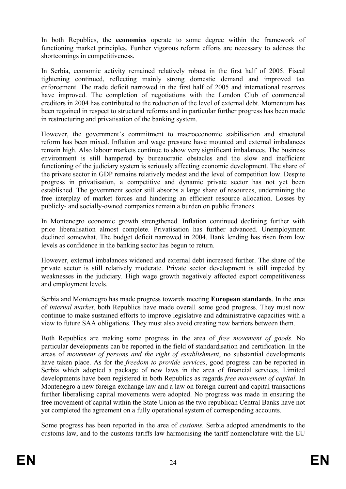In both Republics, the **economies** operate to some degree within the framework of functioning market principles. Further vigorous reform efforts are necessary to address the shortcomings in competitiveness.

In Serbia, economic activity remained relatively robust in the first half of 2005. Fiscal tightening continued, reflecting mainly strong domestic demand and improved tax enforcement. The trade deficit narrowed in the first half of 2005 and international reserves have improved. The completion of negotiations with the London Club of commercial creditors in 2004 has contributed to the reduction of the level of external debt. Momentum has been regained in respect to structural reforms and in particular further progress has been made in restructuring and privatisation of the banking system.

However, the government's commitment to macroeconomic stabilisation and structural reform has been mixed. Inflation and wage pressure have mounted and external imbalances remain high. Also labour markets continue to show very significant imbalances. The business environment is still hampered by bureaucratic obstacles and the slow and inefficient functioning of the judiciary system is seriously affecting economic development. The share of the private sector in GDP remains relatively modest and the level of competition low. Despite progress in privatisation, a competitive and dynamic private sector has not yet been established. The government sector still absorbs a large share of resources, undermining the free interplay of market forces and hindering an efficient resource allocation. Losses by publicly- and socially-owned companies remain a burden on public finances.

In Montenegro economic growth strengthened. Inflation continued declining further with price liberalisation almost complete. Privatisation has further advanced. Unemployment declined somewhat. The budget deficit narrowed in 2004. Bank lending has risen from low levels as confidence in the banking sector has begun to return.

However, external imbalances widened and external debt increased further. The share of the private sector is still relatively moderate. Private sector development is still impeded by weaknesses in the judiciary. High wage growth negatively affected export competitiveness and employment levels.

Serbia and Montenegro has made progress towards meeting **European standards**. In the area of *internal market*, both Republics have made overall some good progress. They must now continue to make sustained efforts to improve legislative and administrative capacities with a view to future SAA obligations. They must also avoid creating new barriers between them.

Both Republics are making some progress in the area of *free movement of goods*. No particular developments can be reported in the field of standardisation and certification. In the areas of *movement of persons and the right of establishment*, no substantial developments have taken place. As for the *freedom to provide services*, good progress can be reported in Serbia which adopted a package of new laws in the area of financial services. Limited developments have been registered in both Republics as regards *free movement of capital*. In Montenegro a new foreign exchange law and a law on foreign current and capital transactions further liberalising capital movements were adopted. No progress was made in ensuring the free movement of capital within the State Union as the two republican Central Banks have not yet completed the agreement on a fully operational system of corresponding accounts.

Some progress has been reported in the area of *customs*. Serbia adopted amendments to the customs law, and to the customs tariffs law harmonising the tariff nomenclature with the EU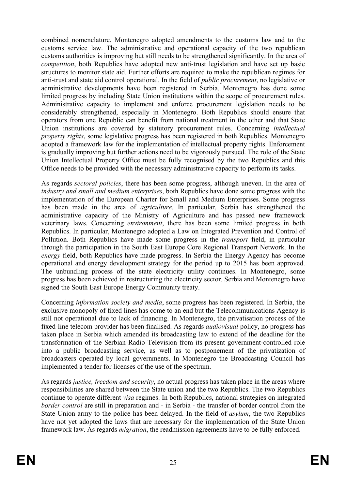combined nomenclature. Montenegro adopted amendments to the customs law and to the customs service law. The administrative and operational capacity of the two republican customs authorities is improving but still needs to be strengthened significantly. In the area of *competition*, both Republics have adopted new anti-trust legislation and have set up basic structures to monitor state aid. Further efforts are required to make the republican regimes for anti-trust and state aid control operational. In the field of *public procurement*, no legislative or administrative developments have been registered in Serbia. Montenegro has done some limited progress by including State Union institutions within the scope of procurement rules. Administrative capacity to implement and enforce procurement legislation needs to be considerably strengthened, especially in Montenegro. Both Republics should ensure that operators from one Republic can benefit from national treatment in the other and that State Union institutions are covered by statutory procurement rules. Concerning *intellectual property rights*, some legislative progress has been registered in both Republics. Montenegro adopted a framework law for the implementation of intellectual property rights. Enforcement is gradually improving but further actions need to be vigorously pursued. The role of the State Union Intellectual Property Office must be fully recognised by the two Republics and this Office needs to be provided with the necessary administrative capacity to perform its tasks.

As regards *sectoral policies*, there has been some progress, although uneven. In the area of *industry and small and medium enterprises*, both Republics have done some progress with the implementation of the European Charter for Small and Medium Enterprises. Some progress has been made in the area of *agriculture*. In particular, Serbia has strengthened the administrative capacity of the Ministry of Agriculture and has passed new framework veterinary laws. Concerning *environment*, there has been some limited progress in both Republics. In particular, Montenegro adopted a Law on Integrated Prevention and Control of Pollution. Both Republics have made some progress in the *transport* field, in particular through the participation in the South East Europe Core Regional Transport Network. In the *energy* field, both Republics have made progress. In Serbia the Energy Agency has become operational and energy development strategy for the period up to 2015 has been approved. The unbundling process of the state electricity utility continues. In Montenegro, some progress has been achieved in restructuring the electricity sector. Serbia and Montenegro have signed the South East Europe Energy Community treaty.

Concerning *information society and media*, some progress has been registered. In Serbia, the exclusive monopoly of fixed lines has come to an end but the Telecommunications Agency is still not operational due to lack of financing. In Montenegro, the privatisation process of the fixed-line telecom provider has been finalised. As regards *audiovisual* policy, no progress has taken place in Serbia which amended its broadcasting law to extend of the deadline for the transformation of the Serbian Radio Television from its present government-controlled role into a public broadcasting service, as well as to postponement of the privatization of broadcasters operated by local governments. In Montenegro the Broadcasting Council has implemented a tender for licenses of the use of the spectrum.

As regards *justice, freedom and security*, no actual progress has taken place in the areas where responsibilities are shared between the State union and the two Republics. The two Republics continue to operate different *visa* regimes. In both Republics, national strategies on integrated *border control* are still in preparation and - in Serbia - the transfer of border control from the State Union army to the police has been delayed. In the field of *asylum*, the two Republics have not yet adopted the laws that are necessary for the implementation of the State Union framework law. As regards *migration*, the readmission agreements have to be fully enforced.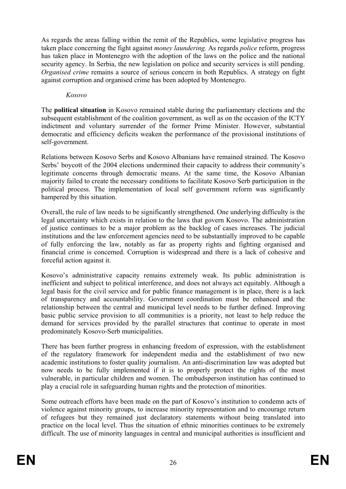As regards the areas falling within the remit of the Republics, some legislative progress has taken place concerning the fight against *money laundering.* As regards *police* reform, progress has taken place in Montenegro with the adoption of the laws on the police and the national security agency. In Serbia, the new legislation on police and security services is still pending. *Organised crime* remains a source of serious concern in both Republics. A strategy on fight against corruption and organised crime has been adopted by Montenegro.

#### *Kosovo*

The **political situation** in Kosovo remained stable during the parliamentary elections and the subsequent establishment of the coalition government, as well as on the occasion of the ICTY indictment and voluntary surrender of the former Prime Minister. However, substantial democratic and efficiency deficits weaken the performance of the provisional institutions of self-government.

Relations between Kosovo Serbs and Kosovo Albanians have remained strained. The Kosovo Serbs' boycott of the 2004 elections undermined their capacity to address their community's legitimate concerns through democratic means. At the same time, the Kosovo Albanian majority failed to create the necessary conditions to facilitate Kosovo Serb participation in the political process. The implementation of local self government reform was significantly hampered by this situation.

Overall, the rule of law needs to be significantly strengthened. One underlying difficulty is the legal uncertainty which exists in relation to the laws that govern Kosovo. The administration of justice continues to be a major problem as the backlog of cases increases. The judicial institutions and the law enforcement agencies need to be substantially improved to be capable of fully enforcing the law, notably as far as property rights and fighting organised and financial crime is concerned. Corruption is widespread and there is a lack of cohesive and forceful action against it.

Kosovo's administrative capacity remains extremely weak. Its public administration is inefficient and subject to political interference, and does not always act equitably. Although a legal basis for the civil service and for public finance management is in place, there is a lack of transparency and accountability. Government coordination must be enhanced and the relationship between the central and municipal level needs to be further defined. Improving basic public service provision to all communities is a priority, not least to help reduce the demand for services provided by the parallel structures that continue to operate in most predominately Kosovo-Serb municipalities.

There has been further progress in enhancing freedom of expression, with the establishment of the regulatory framework for independent media and the establishment of two new academic institutions to foster quality journalism. An anti-discrimination law was adopted but now needs to be fully implemented if it is to properly protect the rights of the most vulnerable, in particular children and women. The ombudsperson institution has continued to play a crucial role in safeguarding human rights and the protection of minorities.

Some outreach efforts have been made on the part of Kosovo's institution to condemn acts of violence against minority groups, to increase minority representation and to encourage return of refugees but they remained just declaratory statements without being translated into practice on the local level. Thus the situation of ethnic minorities continues to be extremely difficult. The use of minority languages in central and municipal authorities is insufficient and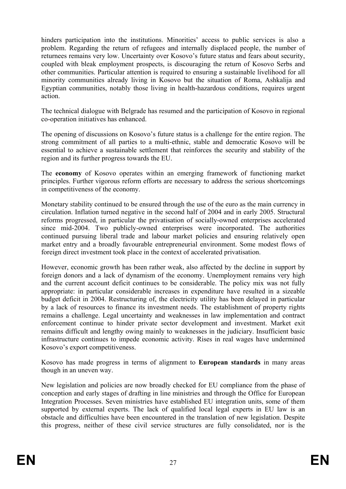hinders participation into the institutions. Minorities' access to public services is also a problem. Regarding the return of refugees and internally displaced people, the number of returnees remains very low. Uncertainty over Kosovo's future status and fears about security, coupled with bleak employment prospects, is discouraging the return of Kosovo Serbs and other communities. Particular attention is required to ensuring a sustainable livelihood for all minority communities already living in Kosovo but the situation of Roma, Ashkalija and Egyptian communities, notably those living in health-hazardous conditions, requires urgent action.

The technical dialogue with Belgrade has resumed and the participation of Kosovo in regional co-operation initiatives has enhanced.

The opening of discussions on Kosovo's future status is a challenge for the entire region. The strong commitment of all parties to a multi-ethnic, stable and democratic Kosovo will be essential to achieve a sustainable settlement that reinforces the security and stability of the region and its further progress towards the EU.

The **economy** of Kosovo operates within an emerging framework of functioning market principles. Further vigorous reform efforts are necessary to address the serious shortcomings in competitiveness of the economy.

Monetary stability continued to be ensured through the use of the euro as the main currency in circulation. Inflation turned negative in the second half of 2004 and in early 2005. Structural reforms progressed, in particular the privatisation of socially-owned enterprises accelerated since mid-2004. Two publicly-owned enterprises were incorporated. The authorities continued pursuing liberal trade and labour market policies and ensuring relatively open market entry and a broadly favourable entrepreneurial environment. Some modest flows of foreign direct investment took place in the context of accelerated privatisation.

However, economic growth has been rather weak, also affected by the decline in support by foreign donors and a lack of dynamism of the economy. Unemployment remains very high and the current account deficit continues to be considerable. The policy mix was not fully appropriate: in particular considerable increases in expenditure have resulted in a sizeable budget deficit in 2004. Restructuring of, the electricity utility has been delayed in particular by a lack of resources to finance its investment needs. The establishment of property rights remains a challenge. Legal uncertainty and weaknesses in law implementation and contract enforcement continue to hinder private sector development and investment. Market exit remains difficult and lengthy owing mainly to weaknesses in the judiciary. Insufficient basic infrastructure continues to impede economic activity. Rises in real wages have undermined Kosovo's export competitiveness.

Kosovo has made progress in terms of alignment to **European standards** in many areas though in an uneven way.

New legislation and policies are now broadly checked for EU compliance from the phase of conception and early stages of drafting in line ministries and through the Office for European Integration Processes. Seven ministries have established EU integration units, some of them supported by external experts. The lack of qualified local legal experts in EU law is an obstacle and difficulties have been encountered in the translation of new legislation. Despite this progress, neither of these civil service structures are fully consolidated, nor is the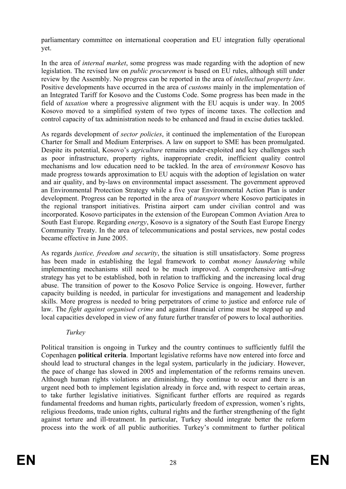parliamentary committee on international cooperation and EU integration fully operational yet.

In the area of *internal market*, some progress was made regarding with the adoption of new legislation. The revised law on *public procurement* is based on EU rules, although still under review by the Assembly. No progress can be reported in the area of *intellectual property law*. Positive developments have occurred in the area of *customs* mainly in the implementation of an Integrated Tariff for Kosovo and the Customs Code. Some progress has been made in the field of *taxation* where a progressive alignment with the EU acquis is under way. In 2005 Kosovo moved to a simplified system of two types of income taxes. The collection and control capacity of tax administration needs to be enhanced and fraud in excise duties tackled.

As regards development of *sector policies*, it continued the implementation of the European Charter for Small and Medium Enterprises. A law on support to SME has been promulgated. Despite its potential, Kosovo's *agriculture* remains under-exploited and key challenges such as poor infrastructure, property rights, inappropriate credit, inefficient quality control mechanisms and low education need to be tackled. In the area of *environment* Kosovo has made progress towards approximation to EU acquis with the adoption of legislation on water and air quality, and by-laws on environmental impact assessment. The government approved an Environmental Protection Strategy while a five year Environmental Action Plan is under development. Progress can be reported in the area of *transport* where Kosovo participates in the regional transport initiatives. Pristina airport cam under civilian control and was incorporated. Kosovo participates in the extension of the European Common Aviation Area to South East Europe. Regarding *energy*, Kosovo is a signatory of the South East Europe Energy Community Treaty. In the area of telecommunications and postal services, new postal codes became effective in June 2005.

As regards *justice, freedom and security*, the situation is still unsatisfactory. Some progress has been made in establishing the legal framework to combat *money laundering* while implementing mechanisms still need to be much improved. A comprehensive anti-*drug* strategy has yet to be established, both in relation to trafficking and the increasing local drug abuse. The transition of power to the Kosovo Police Service is ongoing. However, further capacity building is needed, in particular for investigations and management and leadership skills. More progress is needed to bring perpetrators of crime to justice and enforce rule of law. The *fight against organised crime* and against financial crime must be stepped up and local capacities developed in view of any future further transfer of powers to local authorities.

# *Turkey*

Political transition is ongoing in Turkey and the country continues to sufficiently fulfil the Copenhagen **political criteria**. Important legislative reforms have now entered into force and should lead to structural changes in the legal system, particularly in the judiciary. However, the pace of change has slowed in 2005 and implementation of the reforms remains uneven. Although human rights violations are diminishing, they continue to occur and there is an urgent need both to implement legislation already in force and, with respect to certain areas, to take further legislative initiatives. Significant further efforts are required as regards fundamental freedoms and human rights, particularly freedom of expression, women's rights, religious freedoms, trade union rights, cultural rights and the further strengthening of the fight against torture and ill-treatment. In particular, Turkey should integrate better the reform process into the work of all public authorities. Turkey's commitment to further political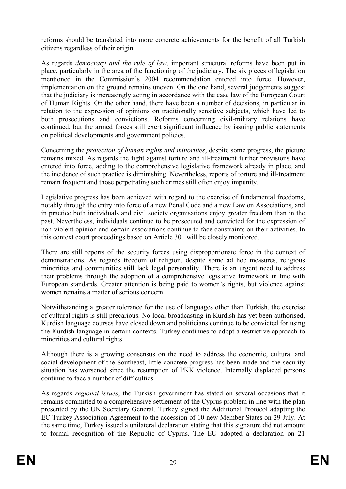reforms should be translated into more concrete achievements for the benefit of all Turkish citizens regardless of their origin.

As regards *democracy and the rule of law*, important structural reforms have been put in place, particularly in the area of the functioning of the judiciary. The six pieces of legislation mentioned in the Commission's 2004 recommendation entered into force. However, implementation on the ground remains uneven. On the one hand, several judgements suggest that the judiciary is increasingly acting in accordance with the case law of the European Court of Human Rights. On the other hand, there have been a number of decisions, in particular in relation to the expression of opinions on traditionally sensitive subjects, which have led to both prosecutions and convictions. Reforms concerning civil-military relations have continued, but the armed forces still exert significant influence by issuing public statements on political developments and government policies.

Concerning the *protection of human rights and minorities*, despite some progress, the picture remains mixed. As regards the fight against torture and ill-treatment further provisions have entered into force, adding to the comprehensive legislative framework already in place, and the incidence of such practice is diminishing. Nevertheless, reports of torture and ill-treatment remain frequent and those perpetrating such crimes still often enjoy impunity.

Legislative progress has been achieved with regard to the exercise of fundamental freedoms, notably through the entry into force of a new Penal Code and a new Law on Associations, and in practice both individuals and civil society organisations enjoy greater freedom than in the past. Nevertheless, individuals continue to be prosecuted and convicted for the expression of non-violent opinion and certain associations continue to face constraints on their activities. In this context court proceedings based on Article 301 will be closely monitored.

There are still reports of the security forces using disproportionate force in the context of demonstrations. As regards freedom of religion, despite some ad hoc measures, religious minorities and communities still lack legal personality. There is an urgent need to address their problems through the adoption of a comprehensive legislative framework in line with European standards. Greater attention is being paid to women's rights, but violence against women remains a matter of serious concern.

Notwithstanding a greater tolerance for the use of languages other than Turkish, the exercise of cultural rights is still precarious. No local broadcasting in Kurdish has yet been authorised, Kurdish language courses have closed down and politicians continue to be convicted for using the Kurdish language in certain contexts. Turkey continues to adopt a restrictive approach to minorities and cultural rights.

Although there is a growing consensus on the need to address the economic, cultural and social development of the Southeast, little concrete progress has been made and the security situation has worsened since the resumption of PKK violence. Internally displaced persons continue to face a number of difficulties.

As regards *regional issues*, the Turkish government has stated on several occasions that it remains committed to a comprehensive settlement of the Cyprus problem in line with the plan presented by the UN Secretary General. Turkey signed the Additional Protocol adapting the EC Turkey Association Agreement to the accession of 10 new Member States on 29 July. At the same time, Turkey issued a unilateral declaration stating that this signature did not amount to formal recognition of the Republic of Cyprus. The EU adopted a declaration on 21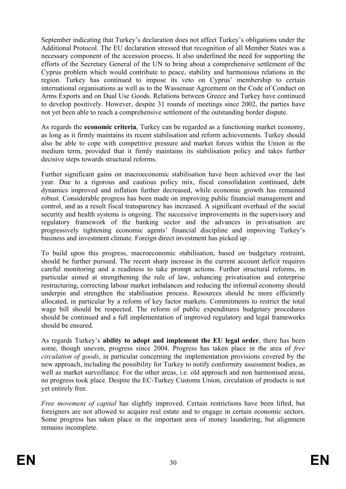September indicating that Turkey's declaration does not affect Turkey's obligations under the Additional Protocol. The EU declaration stressed that recognition of all Member States was a necessary component of the accession process. It also underlined the need for supporting the efforts of the Secretary General of the UN to bring about a comprehensive settlement of the Cyprus problem which would contribute to peace, stability and harmonious relations in the region. Turkey has continued to impose its veto on Cyprus' membership to certain international organisations as well as to the Wassenaar Agreement on the Code of Conduct on Arms Exports and on Dual Use Goods. Relations between Greece and Turkey have continued to develop positively. However, despite 31 rounds of meetings since 2002, the parties have not yet been able to reach a comprehensive settlement of the outstanding border dispute.

As regards the **economic criteria**, Turkey can be regarded as a functioning market economy, as long as it firmly maintains its recent stabilisation and reform achievements. Turkey should also be able to cope with competitive pressure and market forces within the Union in the medium term, provided that it firmly maintains its stabilisation policy and takes further decisive steps towards structural reforms.

Further significant gains on macroeconomic stabilisation have been achieved over the last year. Due to a rigorous and cautious policy mix, fiscal consolidation continued, debt dynamics improved and inflation further decreased, while economic growth has remained robust. Considerable progress has been made on improving public financial management and control, and as a result fiscal transparency has increased. A significant overhaul of the social security and health systems is ongoing. The successive improvements in the supervisory and regulatory framework of the banking sector and the advances in privatisation are progressively tightening economic agents' financial discipline and improving Turkey's business and investment climate. Foreign direct investment has picked up .

To build upon this progress, macroeconomic stabilisation, based on budgetary restraint, should be further pursued. The recent sharp increase in the current account deficit requires careful monitoring and a readiness to take prompt actions. Further structural reforms, in particular aimed at strengthening the rule of law, enhancing privatisation and enterprise restructuring, correcting labour market imbalances and reducing the informal economy should underpin and strengthen the stabilisation process. Resources should be more efficiently allocated, in particular by a reform of key factor markets. Commitments to restrict the total wage bill should be respected. The reform of public expenditures budgetary procedures should be continued and a full implementation of improved regulatory and legal frameworks should be ensured.

As regards Turkey's **ability to adopt and implement the EU legal order**, there has been some, though uneven, progress since 2004. Progress has taken place in the area of *free circulation of goods*, in particular concerning the implementation provisions covered by the new approach, including the possibility for Turkey to notify conformity assessment bodies, as well as market surveillance. For the other areas, i.e. old approach and non harmonised areas, no progress took place. Despite the EC-Turkey Customs Union, circulation of products is not yet entirely free.

*Free movement of capital* has slightly improved. Certain restrictions have been lifted, but foreigners are not allowed to acquire real estate and to engage in certain economic sectors. Some progress has taken place in the important area of money laundering, but alignment remains incomplete.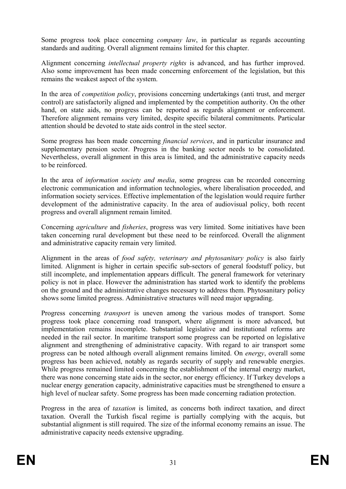Some progress took place concerning *company law*, in particular as regards accounting standards and auditing. Overall alignment remains limited for this chapter.

Alignment concerning *intellectual property rights* is advanced, and has further improved. Also some improvement has been made concerning enforcement of the legislation, but this remains the weakest aspect of the system.

In the area of *competition policy*, provisions concerning undertakings (anti trust, and merger control) are satisfactorily aligned and implemented by the competition authority. On the other hand, on state aids, no progress can be reported as regards alignment or enforcement. Therefore alignment remains very limited, despite specific bilateral commitments. Particular attention should be devoted to state aids control in the steel sector.

Some progress has been made concerning *financial services*, and in particular insurance and supplementary pension sector. Progress in the banking sector needs to be consolidated. Nevertheless, overall alignment in this area is limited, and the administrative capacity needs to be reinforced.

In the area of *information society and media*, some progress can be recorded concerning electronic communication and information technologies, where liberalisation proceeded, and information society services. Effective implementation of the legislation would require further development of the administrative capacity. In the area of audiovisual policy, both recent progress and overall alignment remain limited.

Concerning *agriculture* and *fisheries*, progress was very limited. Some initiatives have been taken concerning rural development but these need to be reinforced. Overall the alignment and administrative capacity remain very limited.

Alignment in the areas of *food safety, veterinary and phytosanitary policy* is also fairly limited. Alignment is higher in certain specific sub-sectors of general foodstuff policy, but still incomplete, and implementation appears difficult. The general framework for veterinary policy is not in place. However the administration has started work to identify the problems on the ground and the administrative changes necessary to address them. Phytosanitary policy shows some limited progress. Administrative structures will need major upgrading.

Progress concerning *transport* is uneven among the various modes of transport. Some progress took place concerning road transport, where alignment is more advanced, but implementation remains incomplete. Substantial legislative and institutional reforms are needed in the rail sector. In maritime transport some progress can be reported on legislative alignment and strengthening of administrative capacity. With regard to air transport some progress can be noted although overall alignment remains limited. On *energy*, overall some progress has been achieved, notably as regards security of supply and renewable energies. While progress remained limited concerning the establishment of the internal energy market, there was none concerning state aids in the sector, nor energy efficiency. If Turkey develops a nuclear energy generation capacity, administrative capacities must be strengthened to ensure a high level of nuclear safety. Some progress has been made concerning radiation protection.

Progress in the area of *taxation* is limited, as concerns both indirect taxation, and direct taxation. Overall the Turkish fiscal regime is partially complying with the acquis, but substantial alignment is still required. The size of the informal economy remains an issue. The administrative capacity needs extensive upgrading.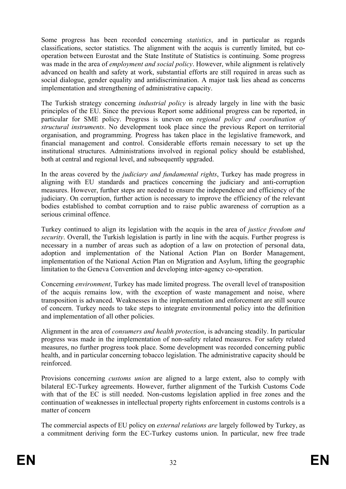Some progress has been recorded concerning *statistics*, and in particular as regards classifications, sector statistics. The alignment with the acquis is currently limited, but cooperation between Eurostat and the State Institute of Statistics is continuing. Some progress was made in the area of *employment and social policy*. However, while alignment is relatively advanced on health and safety at work, substantial efforts are still required in areas such as social dialogue, gender equality and antidiscrimination. A major task lies ahead as concerns implementation and strengthening of administrative capacity.

The Turkish strategy concerning *industrial policy* is already largely in line with the basic principles of the EU. Since the previous Report some additional progress can be reported, in particular for SME policy. Progress is uneven on *regional policy and coordination of structural instruments*. No development took place since the previous Report on territorial organisation, and programming. Progress has taken place in the legislative framework, and financial management and control. Considerable efforts remain necessary to set up the institutional structures. Administrations involved in regional policy should be established, both at central and regional level, and subsequently upgraded.

In the areas covered by the *judiciary and fundamental rights*, Turkey has made progress in aligning with EU standards and practices concerning the judiciary and anti-corruption measures. However, further steps are needed to ensure the independence and efficiency of the judiciary. On corruption, further action is necessary to improve the efficiency of the relevant bodies established to combat corruption and to raise public awareness of corruption as a serious criminal offence.

Turkey continued to align its legislation with the acquis in the area of *justice freedom and security*. Overall, the Turkish legislation is partly in line with the acquis. Further progress is necessary in a number of areas such as adoption of a law on protection of personal data, adoption and implementation of the National Action Plan on Border Management, implementation of the National Action Plan on Migration and Asylum, lifting the geographic limitation to the Geneva Convention and developing inter-agency co-operation.

Concerning *environment*, Turkey has made limited progress. The overall level of transposition of the acquis remains low, with the exception of waste management and noise, where transposition is advanced. Weaknesses in the implementation and enforcement are still source of concern. Turkey needs to take steps to integrate environmental policy into the definition and implementation of all other policies.

Alignment in the area of *consumers and health protection*, is advancing steadily. In particular progress was made in the implementation of non-safety related measures. For safety related measures, no further progress took place. Some development was recorded concerning public health, and in particular concerning tobacco legislation. The administrative capacity should be reinforced.

Provisions concerning *customs union* are aligned to a large extent, also to comply with bilateral EC-Turkey agreements. However, further alignment of the Turkish Customs Code with that of the EC is still needed. Non-customs legislation applied in free zones and the continuation of weaknesses in intellectual property rights enforcement in customs controls is a matter of concern

The commercial aspects of EU policy on *external relations are* largely followed by Turkey, as a commitment deriving form the EC-Turkey customs union. In particular, new free trade